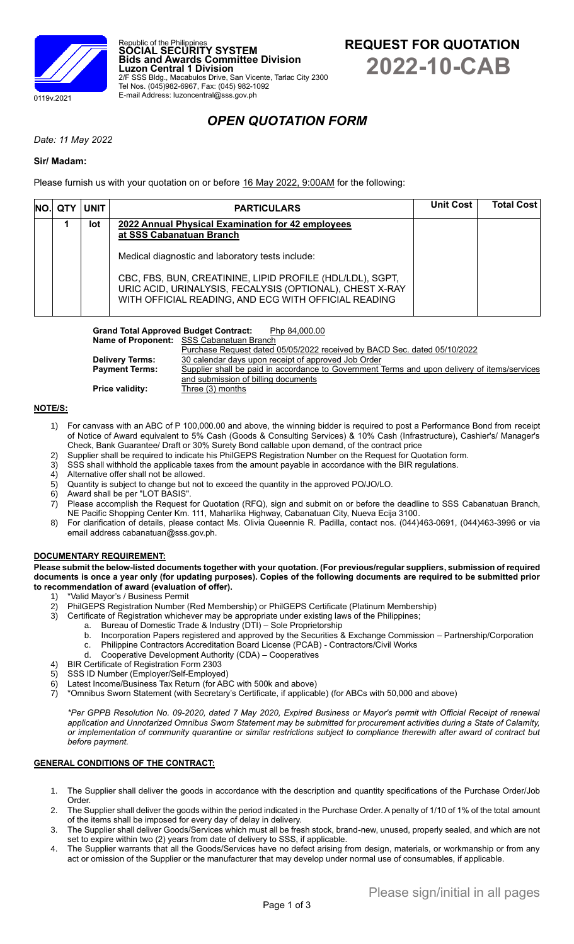



# *OPEN QUOTATION FORM*

## *Date: 11 May 2022*

## **Sir/ Madam:**

Please furnish us with your quotation on or before 16 May 2022, 9:00AM for the following:

Republic of the Philippines **SOCIAL SECURITY SYSTEM**

Tel Nos. (045)982-6967, Fax: (045) 982-1092 E-mail Address: luzoncentral@sss.gov.ph

**Luzon Central 1 Division**

**Bids and Awards Committee Division**

2/F SSS Bldg., Macabulos Drive, San Vicente, Tarlac City 2300

|  | $NO.$ QTY $ $ UNIT | <b>PARTICULARS</b>                                                                                                                                                            | <b>Unit Cost</b> | <b>Total Cost</b> |
|--|--------------------|-------------------------------------------------------------------------------------------------------------------------------------------------------------------------------|------------------|-------------------|
|  | lot                | 2022 Annual Physical Examination for 42 employees<br>at SSS Cabanatuan Branch                                                                                                 |                  |                   |
|  |                    | Medical diagnostic and laboratory tests include:                                                                                                                              |                  |                   |
|  |                    | CBC, FBS, BUN, CREATININE, LIPID PROFILE (HDL/LDL), SGPT,<br>URIC ACID, URINALYSIS, FECALYSIS (OPTIONAL), CHEST X-RAY<br>WITH OFFICIAL READING, AND ECG WITH OFFICIAL READING |                  |                   |

Grand Total Approved Budget Contract: Php 84,000.00

|                        | <b>Name of Proponent:</b> SSS Cabanatuan Branch                                              |
|------------------------|----------------------------------------------------------------------------------------------|
|                        | Purchase Request dated 05/05/2022 received by BACD Sec. dated 05/10/2022                     |
| <b>Delivery Terms:</b> | 30 calendar days upon receipt of approved Job Order                                          |
| <b>Payment Terms:</b>  | Supplier shall be paid in accordance to Government Terms and upon delivery of items/services |
|                        | and submission of billing documents                                                          |
| <b>Price validity:</b> | Three (3) months                                                                             |

## **NOTE/S:**

- 1) For canvass with an ABC of P 100,000.00 and above, the winning bidder is required to post a Performance Bond from receipt of Notice of Award equivalent to 5% Cash (Goods & Consulting Services) & 10% Cash (Infrastructure), Cashier's/ Manager's Check, Bank Guarantee/ Draft or 30% Surety Bond callable upon demand, of the contract price
- 2) Supplier shall be required to indicate his PhilGEPS Registration Number on the Request for Quotation form.
- 3) SSS shall withhold the applicable taxes from the amount payable in accordance with the BIR regulations.
- 4) Alternative offer shall not be allowed.
- 5) Quantity is subject to change but not to exceed the quantity in the approved PO/JO/LO.
- 6) Award shall be per "LOT BASIS".
- 7) Please accomplish the Request for Quotation (RFQ), sign and submit on or before the deadline to SSS Cabanatuan Branch, NE Pacific Shopping Center Km. 111, Maharlika Highway, Cabanatuan City, Nueva Ecija 3100.
- 8) For clarification of details, please contact Ms. Olivia Queennie R. Padilla, contact nos. (044)463-0691, (044)463-3996 or via email address cabanatuan@sss.gov.ph.

## **DOCUMENTARY REQUIREMENT:**

**Please submit the below-listed documents together with your quotation. (For previous/regular suppliers, submission of required documents is once a year only (for updating purposes). Copies of the following documents are required to be submitted prior to recommendation of award (evaluation of offer).**

- \*Valid Mayor's / Business Permit
- 2) PhilGEPS Registration Number (Red Membership) or PhilGEPS Certificate (Platinum Membership)
- 3) Certificate of Registration whichever may be appropriate under existing laws of the Philippines;
	- a. Bureau of Domestic Trade & Industry (DTI) Sole Proprietorship
		- b. Incorporation Papers registered and approved by the Securities & Exchange Commission Partnership/Corporation c. Philippine Contractors Accreditation Board License (PCAB) - Contractors/Civil Works
		- d. Cooperative Development Authority (CDA) Cooperatives
- 4) BIR Certificate of Registration Form 2303
- 5) SSS ID Number (Employer/Self-Employed)
- 6) Latest Income/Business Tax Return (for ABC with 500k and above)
- 7) \*Omnibus Sworn Statement (with Secretary's Certificate, if applicable) (for ABCs with 50,000 and above)

*\*Per GPPB Resolution No. 09-2020, dated 7 May 2020, Expired Business or Mayor's permit with Official Receipt of renewal application and Unnotarized Omnibus Sworn Statement may be submitted for procurement activities during a State of Calamity, or implementation of community quarantine or similar restrictions subject to compliance therewith after award of contract but before payment.*

## **GENERAL CONDITIONS OF THE CONTRACT:**

- 1. The Supplier shall deliver the goods in accordance with the description and quantity specifications of the Purchase Order/Job Order.
- 2. The Supplier shall deliver the goods within the period indicated in the Purchase Order. A penalty of 1/10 of 1% of the total amount of the items shall be imposed for every day of delay in delivery.
- 3. The Supplier shall deliver Goods/Services which must all be fresh stock, brand-new, unused, properly sealed, and which are not set to expire within two (2) years from date of delivery to SSS, if applicable.
- 4. The Supplier warrants that all the Goods/Services have no defect arising from design, materials, or workmanship or from any act or omission of the Supplier or the manufacturer that may develop under normal use of consumables, if applicable.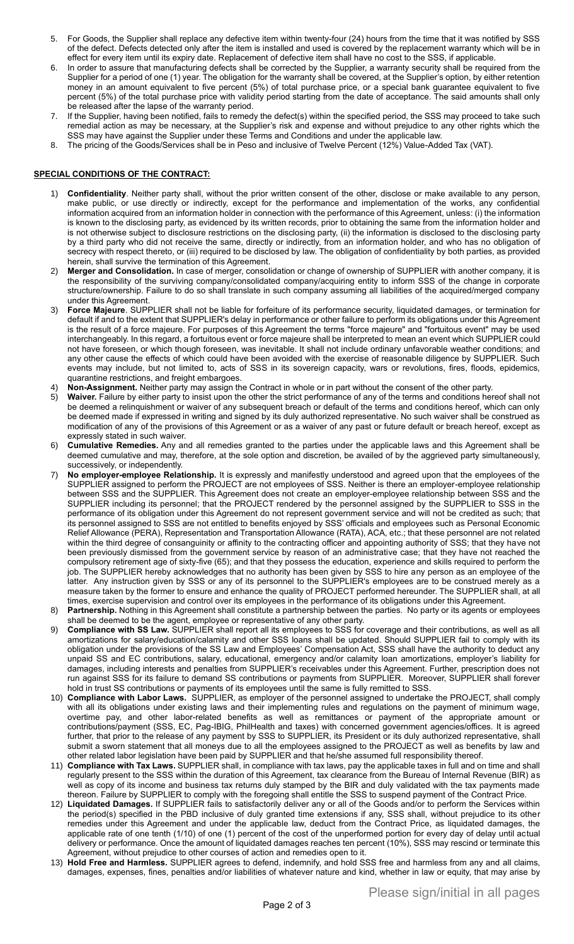- 5. For Goods, the Supplier shall replace any defective item within twenty-four (24) hours from the time that it was notified by SSS of the defect. Defects detected only after the item is installed and used is covered by the replacement warranty which will be in effect for every item until its expiry date. Replacement of defective item shall have no cost to the SSS, if applicable.
- 6. In order to assure that manufacturing defects shall be corrected by the Supplier, a warranty security shall be required from the Supplier for a period of one (1) year. The obligation for the warranty shall be covered, at the Supplier's option, by either retention money in an amount equivalent to five percent (5%) of total purchase price, or a special bank guarantee equivalent to five percent (5%) of the total purchase price with validity period starting from the date of acceptance. The said amounts shall only be released after the lapse of the warranty period.
- If the Supplier, having been notified, fails to remedy the defect(s) within the specified period, the SSS may proceed to take such remedial action as may be necessary, at the Supplier's risk and expense and without prejudice to any other rights which the SSS may have against the Supplier under these Terms and Conditions and under the applicable law.
- 8. The pricing of the Goods/Services shall be in Peso and inclusive of Twelve Percent (12%) Value-Added Tax (VAT).

### **SPECIAL CONDITIONS OF THE CONTRACT:**

- 1) **Confidentiality**. Neither party shall, without the prior written consent of the other, disclose or make available to any person, make public, or use directly or indirectly, except for the performance and implementation of the works, any confidential information acquired from an information holder in connection with the performance of this Agreement, unless: (i) the information is known to the disclosing party, as evidenced by its written records, prior to obtaining the same from the information holder and is not otherwise subject to disclosure restrictions on the disclosing party, (ii) the information is disclosed to the disclosing party by a third party who did not receive the same, directly or indirectly, from an information holder, and who has no obligation of secrecy with respect thereto, or (iii) required to be disclosed by law. The obligation of confidentiality by both parties, as provided herein, shall survive the termination of this Agreement.
- 2) **Merger and Consolidation.** In case of merger, consolidation or change of ownership of SUPPLIER with another company, it is the responsibility of the surviving company/consolidated company/acquiring entity to inform SSS of the change in corporate structure/ownership. Failure to do so shall translate in such company assuming all liabilities of the acquired/merged company under this Agreement.
- 3) **Force Majeure**. SUPPLIER shall not be liable for forfeiture of its performance security, liquidated damages, or termination for default if and to the extent that SUPPLIER's delay in performance or other failure to perform its obligations under this Agreement is the result of a force majeure. For purposes of this Agreement the terms "force majeure" and "fortuitous event" may be used interchangeably. In this regard, a fortuitous event or force majeure shall be interpreted to mean an event which SUPPLIER could not have foreseen, or which though foreseen, was inevitable. It shall not include ordinary unfavorable weather conditions; and any other cause the effects of which could have been avoided with the exercise of reasonable diligence by SUPPLIER. Such events may include, but not limited to, acts of SSS in its sovereign capacity, wars or revolutions, fires, floods, epidemics, quarantine restrictions, and freight embargoes.
- 4) **Non-Assignment.** Neither party may assign the Contract in whole or in part without the consent of the other party.
- 5) **Waiver.** Failure by either party to insist upon the other the strict performance of any of the terms and conditions hereof shall not be deemed a relinquishment or waiver of any subsequent breach or default of the terms and conditions hereof, which can only be deemed made if expressed in writing and signed by its duly authorized representative. No such waiver shall be construed as modification of any of the provisions of this Agreement or as a waiver of any past or future default or breach hereof, except as expressly stated in such waiver.
- 6) **Cumulative Remedies.** Any and all remedies granted to the parties under the applicable laws and this Agreement shall be deemed cumulative and may, therefore, at the sole option and discretion, be availed of by the aggrieved party simultaneously, successively, or independently.
- 7) **No employer-employee Relationship.** It is expressly and manifestly understood and agreed upon that the employees of the SUPPLIER assigned to perform the PROJECT are not employees of SSS. Neither is there an employer-employee relationship between SSS and the SUPPLIER. This Agreement does not create an employer-employee relationship between SSS and the SUPPLIER including its personnel; that the PROJECT rendered by the personnel assigned by the SUPPLIER to SSS in the performance of its obligation under this Agreement do not represent government service and will not be credited as such; that its personnel assigned to SSS are not entitled to benefits enjoyed by SSS' officials and employees such as Personal Economic Relief Allowance (PERA), Representation and Transportation Allowance (RATA), ACA, etc.; that these personnel are not related within the third degree of consanguinity or affinity to the contracting officer and appointing authority of SSS; that they have not been previously dismissed from the government service by reason of an administrative case; that they have not reached the compulsory retirement age of sixty-five (65); and that they possess the education, experience and skills required to perform the job. The SUPPLIER hereby acknowledges that no authority has been given by SSS to hire any person as an employee of the latter. Any instruction given by SSS or any of its personnel to the SUPPLIER's employees are to be construed merely as a measure taken by the former to ensure and enhance the quality of PROJECT performed hereunder. The SUPPLIER shall, at all times, exercise supervision and control over its employees in the performance of its obligations under this Agreement.
- 8) **Partnership.** Nothing in this Agreement shall constitute a partnership between the parties. No party or its agents or employees shall be deemed to be the agent, employee or representative of any other party.
- 9) **Compliance with SS Law.** SUPPLIER shall report all its employees to SSS for coverage and their contributions, as well as all amortizations for salary/education/calamity and other SSS loans shall be updated. Should SUPPLIER fail to comply with its obligation under the provisions of the SS Law and Employees' Compensation Act, SSS shall have the authority to deduct any unpaid SS and EC contributions, salary, educational, emergency and/or calamity loan amortizations, employer's liability for damages, including interests and penalties from SUPPLIER's receivables under this Agreement. Further, prescription does not run against SSS for its failure to demand SS contributions or payments from SUPPLIER. Moreover, SUPPLIER shall forever hold in trust SS contributions or payments of its employees until the same is fully remitted to SSS.
- 10) **Compliance with Labor Laws.** SUPPLIER, as employer of the personnel assigned to undertake the PROJECT, shall comply with all its obligations under existing laws and their implementing rules and regulations on the payment of minimum wage, overtime pay, and other labor-related benefits as well as remittances or payment of the appropriate amount or contributions/payment (SSS, EC, Pag-IBIG, PhilHealth and taxes) with concerned government agencies/offices. It is agreed further, that prior to the release of any payment by SSS to SUPPLIER, its President or its duly authorized representative, shall submit a sworn statement that all moneys due to all the employees assigned to the PROJECT as well as benefits by law and other related labor legislation have been paid by SUPPLIER and that he/she assumed full responsibility thereof.
- 11) **Compliance with Tax Laws.** SUPPLIER shall, in compliance with tax laws, pay the applicable taxes in full and on time and shall regularly present to the SSS within the duration of this Agreement, tax clearance from the Bureau of Internal Revenue (BIR) as well as copy of its income and business tax returns duly stamped by the BIR and duly validated with the tax payments made thereon. Failure by SUPPLIER to comply with the foregoing shall entitle the SSS to suspend payment of the Contract Price.
- 12) **Liquidated Damages.** If SUPPLIER fails to satisfactorily deliver any or all of the Goods and/or to perform the Services within the period(s) specified in the PBD inclusive of duly granted time extensions if any, SSS shall, without prejudice to its other remedies under this Agreement and under the applicable law, deduct from the Contract Price, as liquidated damages, the applicable rate of one tenth (1/10) of one (1) percent of the cost of the unperformed portion for every day of delay until actual delivery or performance. Once the amount of liquidated damages reaches ten percent (10%), SSS may rescind or terminate this Agreement, without prejudice to other courses of action and remedies open to it.
- 13) **Hold Free and Harmless.** SUPPLIER agrees to defend, indemnify, and hold SSS free and harmless from any and all claims, damages, expenses, fines, penalties and/or liabilities of whatever nature and kind, whether in law or equity, that may arise by